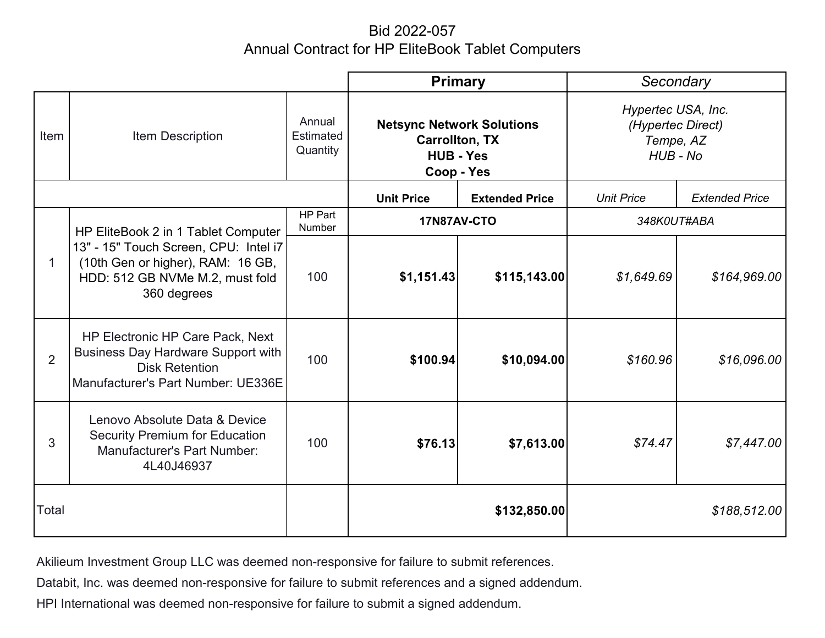## Bid 2022-057 Annual Contract for HP EliteBook Tablet Computers

|                |                                                                                                                                                                     | <b>Primary</b>                         |                                                                                             | Secondary             |                                                                  |                       |
|----------------|---------------------------------------------------------------------------------------------------------------------------------------------------------------------|----------------------------------------|---------------------------------------------------------------------------------------------|-----------------------|------------------------------------------------------------------|-----------------------|
| Item           | <b>Item Description</b>                                                                                                                                             | Annual<br><b>Estimated</b><br>Quantity | <b>Netsync Network Solutions</b><br><b>Carrollton, TX</b><br><b>HUB - Yes</b><br>Coop - Yes |                       | Hypertec USA, Inc.<br>(Hypertec Direct)<br>Tempe, AZ<br>HUB - No |                       |
|                |                                                                                                                                                                     |                                        | <b>Unit Price</b>                                                                           | <b>Extended Price</b> | <b>Unit Price</b>                                                | <b>Extended Price</b> |
| 1              | HP EliteBook 2 in 1 Tablet Computer<br>13" - 15" Touch Screen, CPU: Intel i7<br>(10th Gen or higher), RAM: 16 GB,<br>HDD: 512 GB NVMe M.2, must fold<br>360 degrees | HP Part<br>Number                      | 17N87AV-CTO                                                                                 |                       | 348K0UT#ABA                                                      |                       |
|                |                                                                                                                                                                     | 100                                    | \$1,151.43                                                                                  | \$115,143.00          | \$1,649.69                                                       | \$164,969.00          |
| $\overline{2}$ | HP Electronic HP Care Pack, Next<br><b>Business Day Hardware Support with</b><br><b>Disk Retention</b><br>Manufacturer's Part Number: UE336E                        | 100                                    | \$100.94                                                                                    | \$10,094.00           | \$160.96                                                         | \$16,096.00           |
| 3              | Lenovo Absolute Data & Device<br><b>Security Premium for Education</b><br><b>Manufacturer's Part Number:</b><br>4L40J46937                                          | 100                                    | \$76.13                                                                                     | \$7,613.00            | \$74.47                                                          | \$7,447.00            |
| Total          |                                                                                                                                                                     |                                        | \$132,850.00                                                                                |                       | \$188,512.00                                                     |                       |

Akilieum Investment Group LLC was deemed non-responsive for failure to submit references.

Databit, Inc. was deemed non-responsive for failure to submit references and a signed addendum.

HPI International was deemed non-responsive for failure to submit a signed addendum.